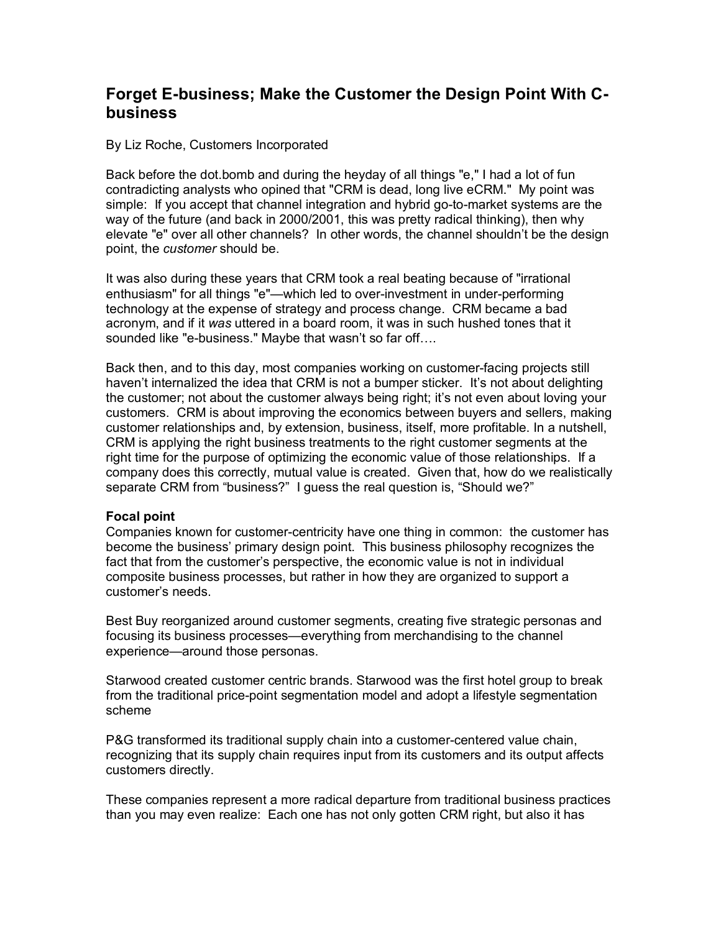## **Forget E-business; Make the Customer the Design Point With Cbusiness**

By Liz Roche, Customers Incorporated

Back before the dot.bomb and during the heyday of all things "e," I had a lot of fun contradicting analysts who opined that "CRM is dead, long live eCRM." My point was simple: If you accept that channel integration and hybrid go-to-market systems are the way of the future (and back in 2000/2001, this was pretty radical thinking), then why elevate "e" over all other channels? In other words, the channel shouldnít be the design point, the *customer* should be.

It was also during these years that CRM took a real beating because of "irrational enthusiasm" for all things "e"—which led to over-investment in under-performing technology at the expense of strategy and process change. CRM became a bad acronym, and if it *was* uttered in a board room, it was in such hushed tones that it sounded like "e-business." Maybe that wasn't so far off....

Back then, and to this day, most companies working on customer-facing projects still haven't internalized the idea that CRM is not a bumper sticker. It's not about delighting the customer; not about the customer always being right; it's not even about loving your customers. CRM is about improving the economics between buyers and sellers, making customer relationships and, by extension, business, itself, more profitable. In a nutshell, CRM is applying the right business treatments to the right customer segments at the right time for the purpose of optimizing the economic value of those relationships. If a company does this correctly, mutual value is created. Given that, how do we realistically separate CRM from "business?" I guess the real question is, "Should we?"

## **Focal point**

Companies known for customer-centricity have one thing in common: the customer has become the business' primary design point. This business philosophy recognizes the fact that from the customerís perspective, the economic value is not in individual composite business processes, but rather in how they are organized to support a customerís needs.

Best Buy reorganized around customer segments, creating five strategic personas and focusing its business processes—everything from merchandising to the channel experience—around those personas.

Starwood created customer centric brands. Starwood was the first hotel group to break from the traditional price-point segmentation model and adopt a lifestyle segmentation scheme

P&G transformed its traditional supply chain into a customer-centered value chain, recognizing that its supply chain requires input from its customers and its output affects customers directly.

These companies represent a more radical departure from traditional business practices than you may even realize: Each one has not only gotten CRM right, but also it has